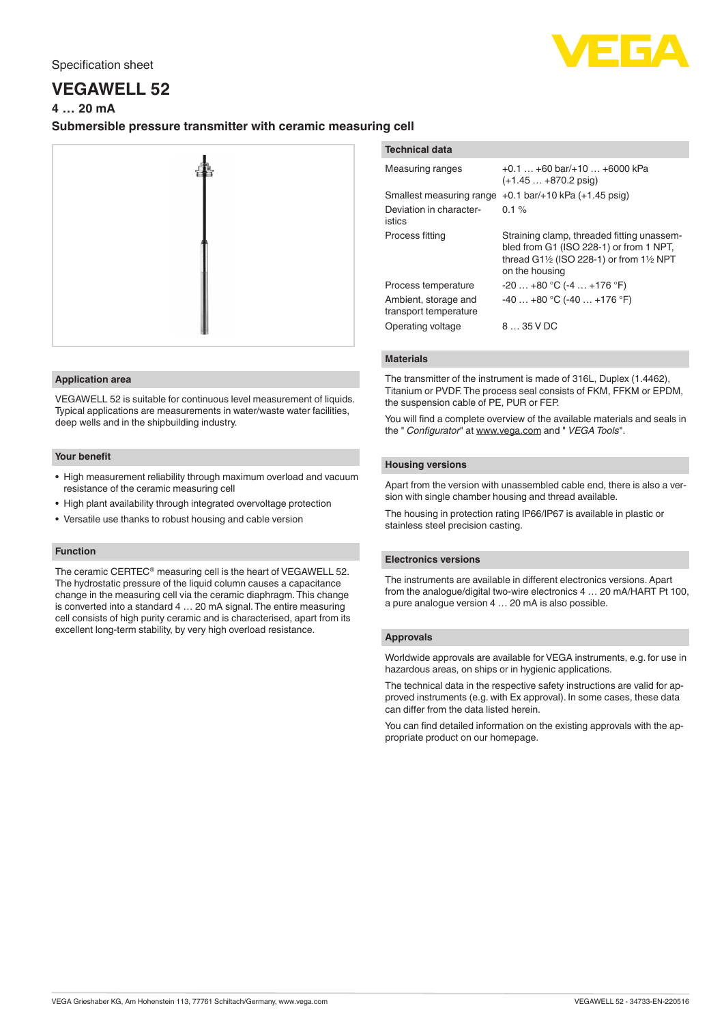

# **VEGAWELL 52**

# **4 … 20 mA**

# **Submersible pressure transmitter with ceramic measuring cell**



#### **Application area**

VEGAWELL 52 is suitable for continuous level measurement of liquids. Typical applications are measurements in water/waste water facilities, deep wells and in the shipbuilding industry.

# **Your benefit**

- High measurement reliability through maximum overload and vacuum resistance of the ceramic measuring cell
- High plant availability through integrated overvoltage protection
- Versatile use thanks to robust housing and cable version

# **Function**

The ceramic CERTEC® measuring cell is the heart of VEGAWELL 52. The hydrostatic pressure of the liquid column causes a capacitance change in the measuring cell via the ceramic diaphragm. This change is converted into a standard 4 … 20 mA signal. The entire measuring cell consists of high purity ceramic and is characterised, apart from its excellent long-term stability, by very high overload resistance.

# **Technical data**

| Measuring ranges                              | $+0.1$ $+60$ bar/ $+10$ $+6000$ kPa<br>$(+1.45 +870.2)$ psig)                                                                                                              |
|-----------------------------------------------|----------------------------------------------------------------------------------------------------------------------------------------------------------------------------|
| Smallest measuring range                      | $+0.1$ bar/ $+10$ kPa ( $+1.45$ psig)                                                                                                                                      |
| Deviation in character-<br>istics             | $0.1 \%$                                                                                                                                                                   |
| Process fitting                               | Straining clamp, threaded fitting unassem-<br>bled from G1 (ISO 228-1) or from 1 NPT,<br>thread G1 $\frac{1}{2}$ (ISO 228-1) or from 1 $\frac{1}{2}$ NPT<br>on the housing |
| Process temperature                           | $-20+80 °C (-4+176 °F)$                                                                                                                                                    |
| Ambient, storage and<br>transport temperature | $-40+80$ °C (-40 $+176$ °F)                                                                                                                                                |
| Operating voltage                             | 8  35 V DC                                                                                                                                                                 |

# **Materials**

The transmitter of the instrument is made of 316L, Duplex (1.4462), Titanium or PVDF. The process seal consists of FKM, FFKM or EPDM, the suspension cable of PE, PUR or FEP.

You will find a complete overview of the available materials and seals in the " *Configurator*" at [www.vega.com](http://www.vega.com) and " *VEGA Tools*".

# **Housing versions**

Apart from the version with unassembled cable end, there is also a version with single chamber housing and thread available.

The housing in protection rating IP66/IP67 is available in plastic or stainless steel precision casting.

# **Electronics versions**

The instruments are available in different electronics versions. Apart from the analogue/digital two-wire electronics 4 … 20 mA/HART Pt 100, a pure analogue version 4 … 20 mA is also possible.

# **Approvals**

Worldwide approvals are available for VEGA instruments, e.g. for use in hazardous areas, on ships or in hygienic applications.

The technical data in the respective safety instructions are valid for approved instruments (e.g. with Ex approval). In some cases, these data can differ from the data listed herein.

You can find detailed information on the existing approvals with the appropriate product on our homepage.